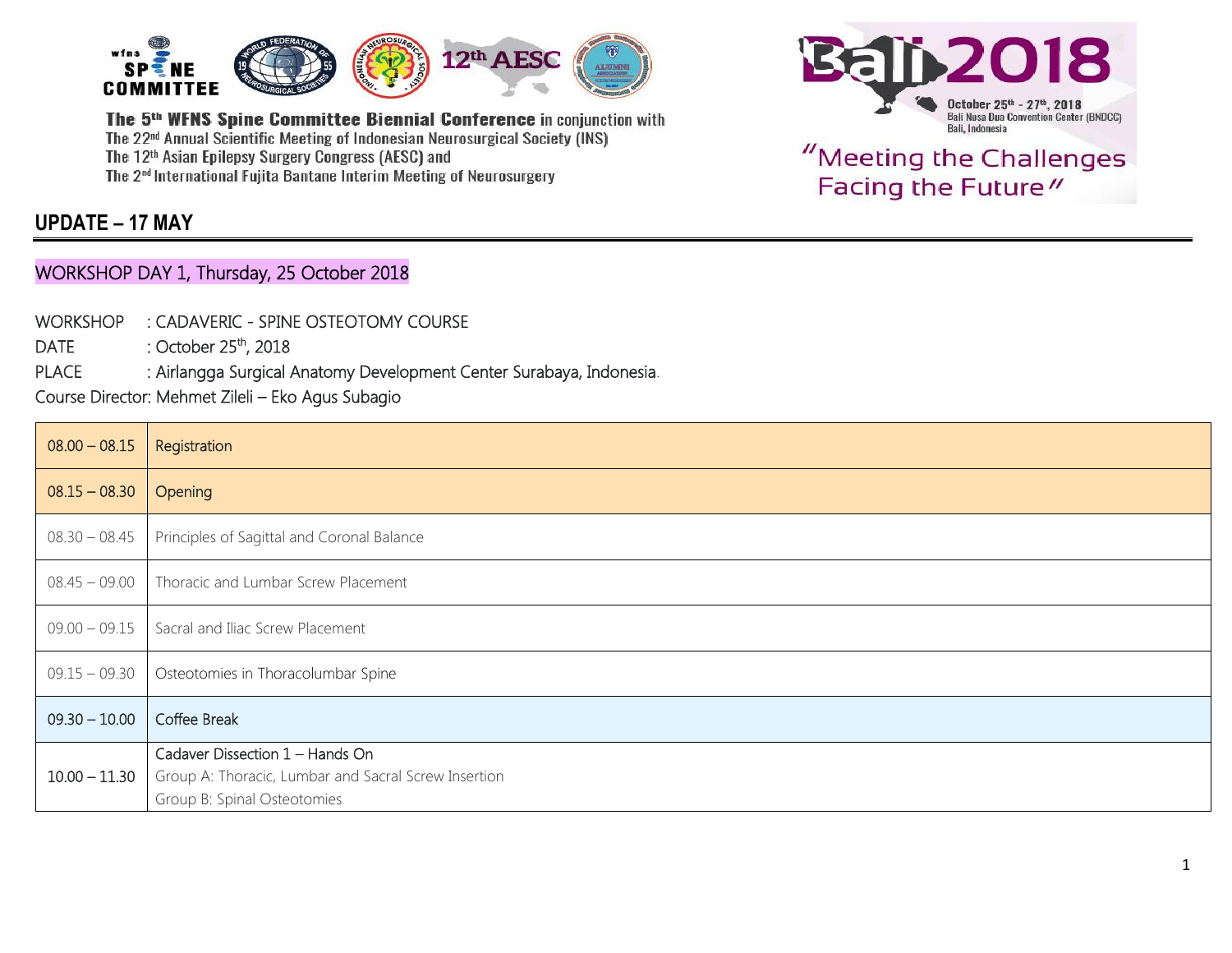

### **UPDATE – 17 MAY**

#### WORKSHOP DAY 1, Thursday, 25 October 2018

- WORKSHOP : CADAVERIC SPINE OSTEOTOMY COURSE
- $DATE$  : October 25<sup>th</sup>, 2018

PLACE : Airlangga Surgical Anatomy Development Center Surabaya, Indonesia.

Course Director: Mehmet Zileli – Eko Agus Subagio

| $08.00 - 08.15$ | Registration                                                                                                           |
|-----------------|------------------------------------------------------------------------------------------------------------------------|
| $08.15 - 08.30$ | Opening                                                                                                                |
| $08.30 - 08.45$ | Principles of Sagittal and Coronal Balance                                                                             |
| $08.45 - 09.00$ | Thoracic and Lumbar Screw Placement                                                                                    |
| $09.00 - 09.15$ | Sacral and Iliac Screw Placement                                                                                       |
| $09.15 - 09.30$ | Osteotomies in Thoracolumbar Spine                                                                                     |
| $09.30 - 10.00$ | Coffee Break                                                                                                           |
| $10.00 - 11.30$ | Cadaver Dissection 1 - Hands On<br>Group A: Thoracic, Lumbar and Sacral Screw Insertion<br>Group B: Spinal Osteotomies |

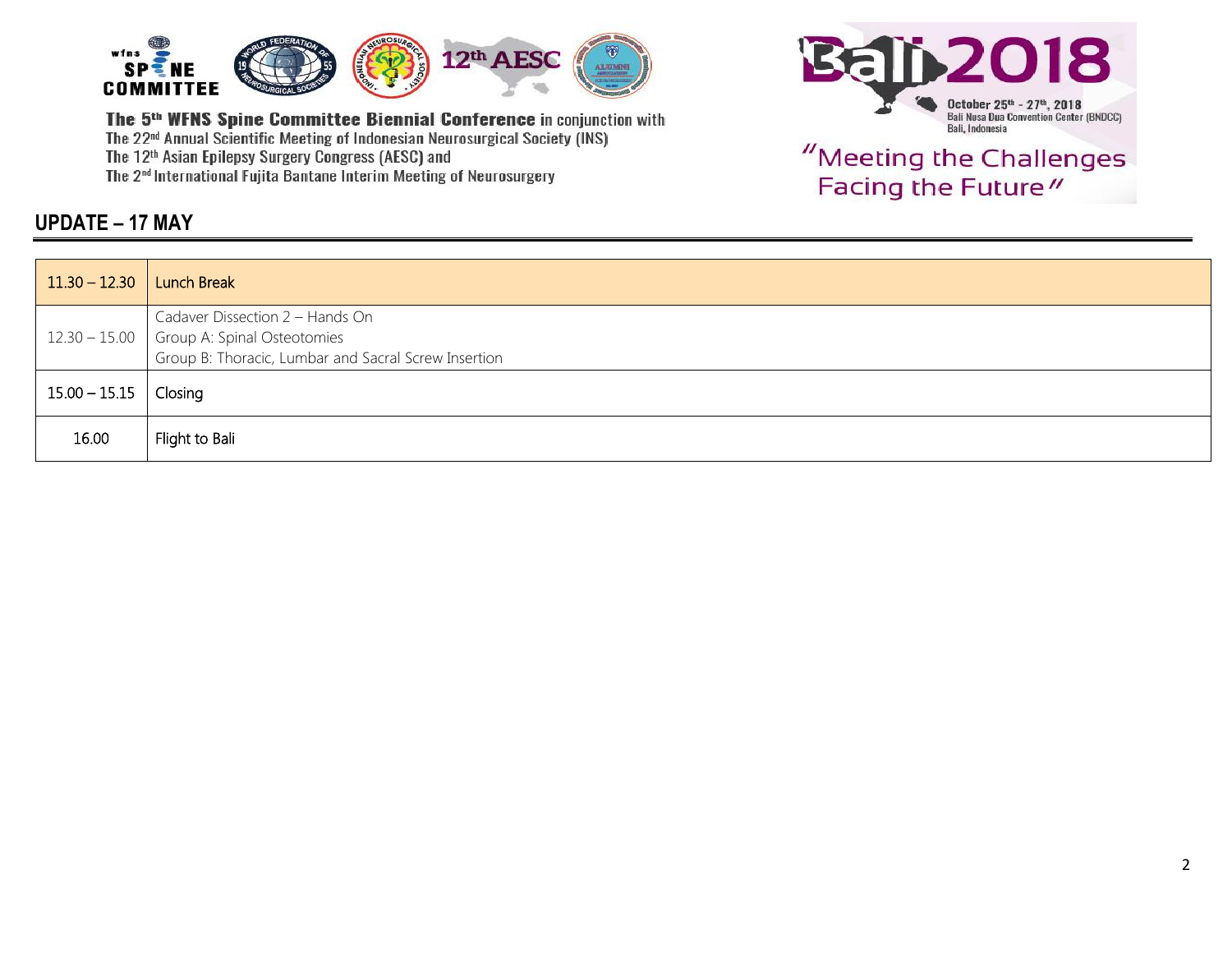





| $11.30 - 12.30$ | <b>Lunch Break</b>                                                                                  |
|-----------------|-----------------------------------------------------------------------------------------------------|
|                 | Cadaver Dissection 2 - Hands On                                                                     |
|                 | $12.30 - 15.00$ Group A: Spinal Osteotomies<br>Group B: Thoracic, Lumbar and Sacral Screw Insertion |
| $15.00 - 15.15$ | Closing                                                                                             |
|                 |                                                                                                     |
| 16.00           | Flight to Bali                                                                                      |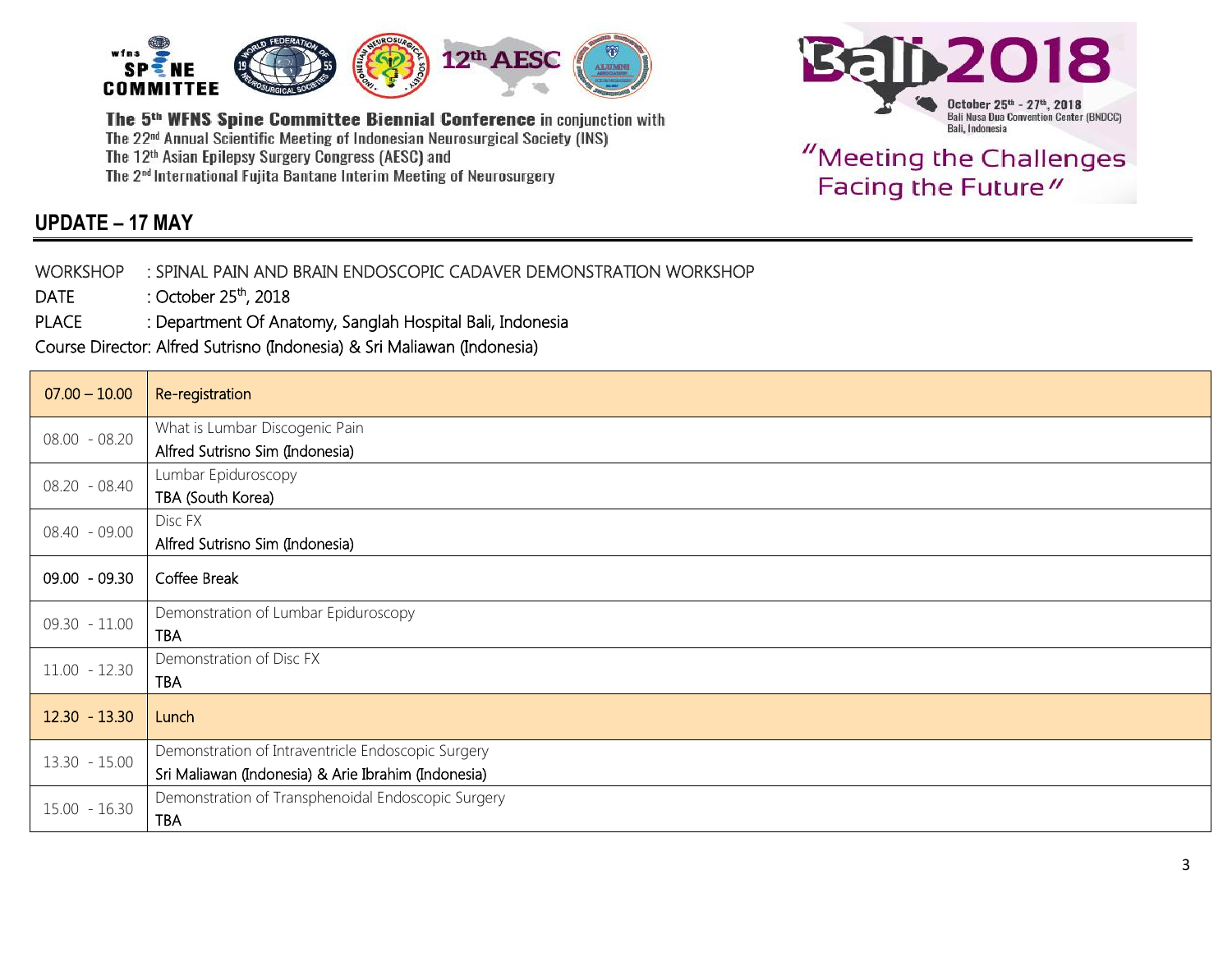



"Meeting the Challenges Facing the Future"

### **UPDATE – 17 MAY**

#### WORKSHOP : SPINAL PAIN AND BRAIN ENDOSCOPIC CADAVER DEMONSTRATION WORKSHOP

DATE : October 25<sup>th</sup>, 2018

PLACE : Department Of Anatomy, Sanglah Hospital Bali, Indonesia

Course Director: Alfred Sutrisno (Indonesia) & Sri Maliawan (Indonesia)

| $07.00 - 10.00$ | Re-registration                                     |
|-----------------|-----------------------------------------------------|
| $08.00 - 08.20$ | What is Lumbar Discogenic Pain                      |
|                 | Alfred Sutrisno Sim (Indonesia)                     |
| 08.20 - 08.40   | Lumbar Epiduroscopy                                 |
|                 | TBA (South Korea)                                   |
| 08.40 - 09.00   | Disc FX                                             |
|                 | Alfred Sutrisno Sim (Indonesia)                     |
| $09.00 - 09.30$ | Coffee Break                                        |
|                 | Demonstration of Lumbar Epiduroscopy                |
| $09.30 - 11.00$ | TBA                                                 |
| $11.00 - 12.30$ | Demonstration of Disc FX                            |
|                 | <b>TBA</b>                                          |
| $12.30 - 13.30$ | Lunch                                               |
|                 |                                                     |
| $13.30 - 15.00$ | Demonstration of Intraventricle Endoscopic Surgery  |
|                 | Sri Maliawan (Indonesia) & Arie Ibrahim (Indonesia) |
| $15.00 - 16.30$ | Demonstration of Transphenoidal Endoscopic Surgery  |
|                 | <b>TBA</b>                                          |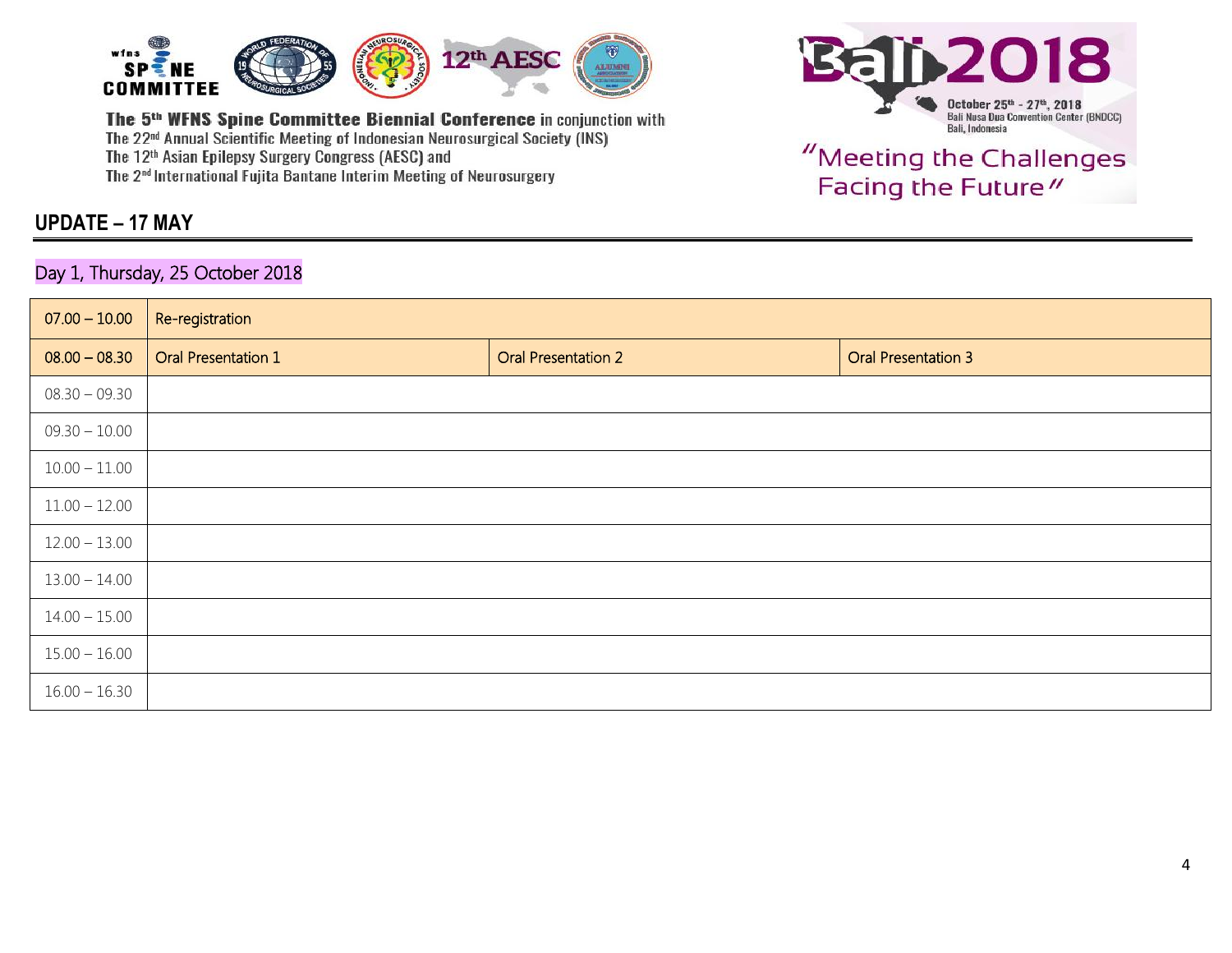

#### **UPDATE – 17 MAY**

#### Day 1, Thursday, 25 October 2018



| $07.00 - 10.00$ | Re-registration            |                            |                            |
|-----------------|----------------------------|----------------------------|----------------------------|
| $08.00 - 08.30$ | <b>Oral Presentation 1</b> | <b>Oral Presentation 2</b> | <b>Oral Presentation 3</b> |
| $08.30 - 09.30$ |                            |                            |                            |
| $09.30 - 10.00$ |                            |                            |                            |
| $10.00 - 11.00$ |                            |                            |                            |
| $11.00 - 12.00$ |                            |                            |                            |
| $12.00 - 13.00$ |                            |                            |                            |
| $13.00 - 14.00$ |                            |                            |                            |
| $14.00 - 15.00$ |                            |                            |                            |
| $15.00 - 16.00$ |                            |                            |                            |
| $16.00 - 16.30$ |                            |                            |                            |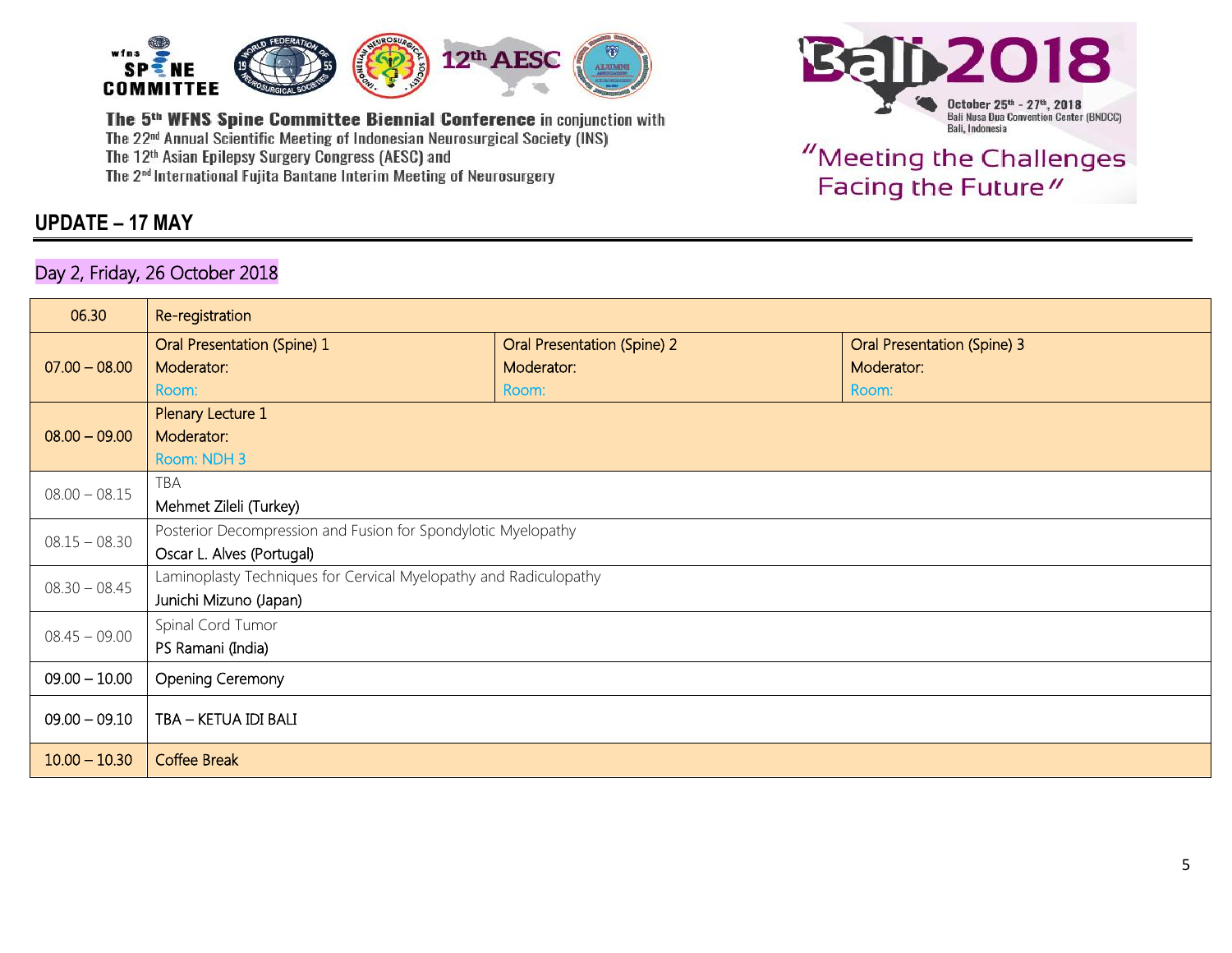

#### **UPDATE – 17 MAY**

#### Day 2, Friday, 26 October 2018



| 06.30           | Re-registration                                                   |                             |                                    |  |  |
|-----------------|-------------------------------------------------------------------|-----------------------------|------------------------------------|--|--|
|                 | Oral Presentation (Spine) 1                                       | Oral Presentation (Spine) 2 | <b>Oral Presentation (Spine) 3</b> |  |  |
| $07.00 - 08.00$ | Moderator:                                                        | Moderator:                  | Moderator:                         |  |  |
|                 | Room:                                                             | Room:                       | Room:                              |  |  |
|                 | Plenary Lecture 1                                                 |                             |                                    |  |  |
| $08.00 - 09.00$ | Moderator:                                                        |                             |                                    |  |  |
|                 | Room: NDH 3                                                       |                             |                                    |  |  |
| $08.00 - 08.15$ | TBA                                                               |                             |                                    |  |  |
|                 | Mehmet Zileli (Turkey)                                            |                             |                                    |  |  |
| $08.15 - 08.30$ | Posterior Decompression and Fusion for Spondylotic Myelopathy     |                             |                                    |  |  |
|                 | Oscar L. Alves (Portugal)                                         |                             |                                    |  |  |
| $08.30 - 08.45$ | Laminoplasty Techniques for Cervical Myelopathy and Radiculopathy |                             |                                    |  |  |
|                 | Junichi Mizuno (Japan)                                            |                             |                                    |  |  |
| $08.45 - 09.00$ | Spinal Cord Tumor                                                 |                             |                                    |  |  |
|                 | PS Ramani (India)                                                 |                             |                                    |  |  |
| $09.00 - 10.00$ | Opening Ceremony                                                  |                             |                                    |  |  |
| $09.00 - 09.10$ | TBA - KETUA IDI BALI                                              |                             |                                    |  |  |
| $10.00 - 10.30$ | <b>Coffee Break</b>                                               |                             |                                    |  |  |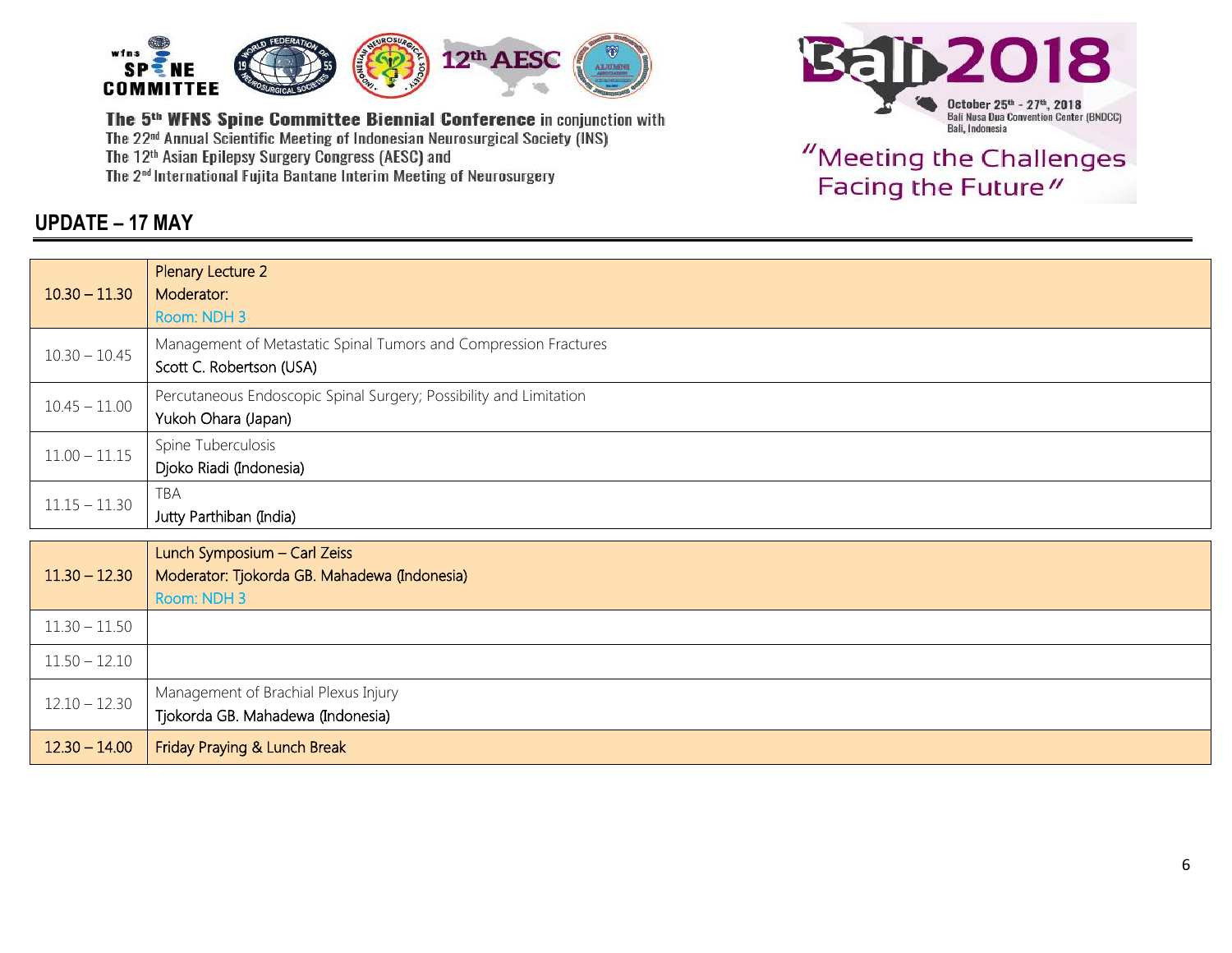



"Meeting the Challenges Facing the Future"

#### **UPDATE – 17 MAY**

| $10.30 - 11.30$ | Plenary Lecture 2<br>Moderator:<br>Room: NDH 3                                               |
|-----------------|----------------------------------------------------------------------------------------------|
| $10.30 - 10.45$ | Management of Metastatic Spinal Tumors and Compression Fractures<br>Scott C. Robertson (USA) |
| $10.45 - 11.00$ | Percutaneous Endoscopic Spinal Surgery; Possibility and Limitation<br>Yukoh Ohara (Japan)    |
| $11.00 - 11.15$ | Spine Tuberculosis<br>Djoko Riadi (Indonesia)                                                |
| $11.15 - 11.30$ | TBA<br>Jutty Parthiban (India)                                                               |
|                 |                                                                                              |
| $11.30 - 12.30$ | Lunch Symposium - Carl Zeiss<br>Moderator: Tjokorda GB. Mahadewa (Indonesia)<br>Room: NDH 3  |
| $11.30 - 11.50$ |                                                                                              |
| $11.50 - 12.10$ |                                                                                              |
| $12.10 - 12.30$ | Management of Brachial Plexus Injury<br>Tjokorda GB. Mahadewa (Indonesia)                    |
| $12.30 - 14.00$ | Friday Praying & Lunch Break                                                                 |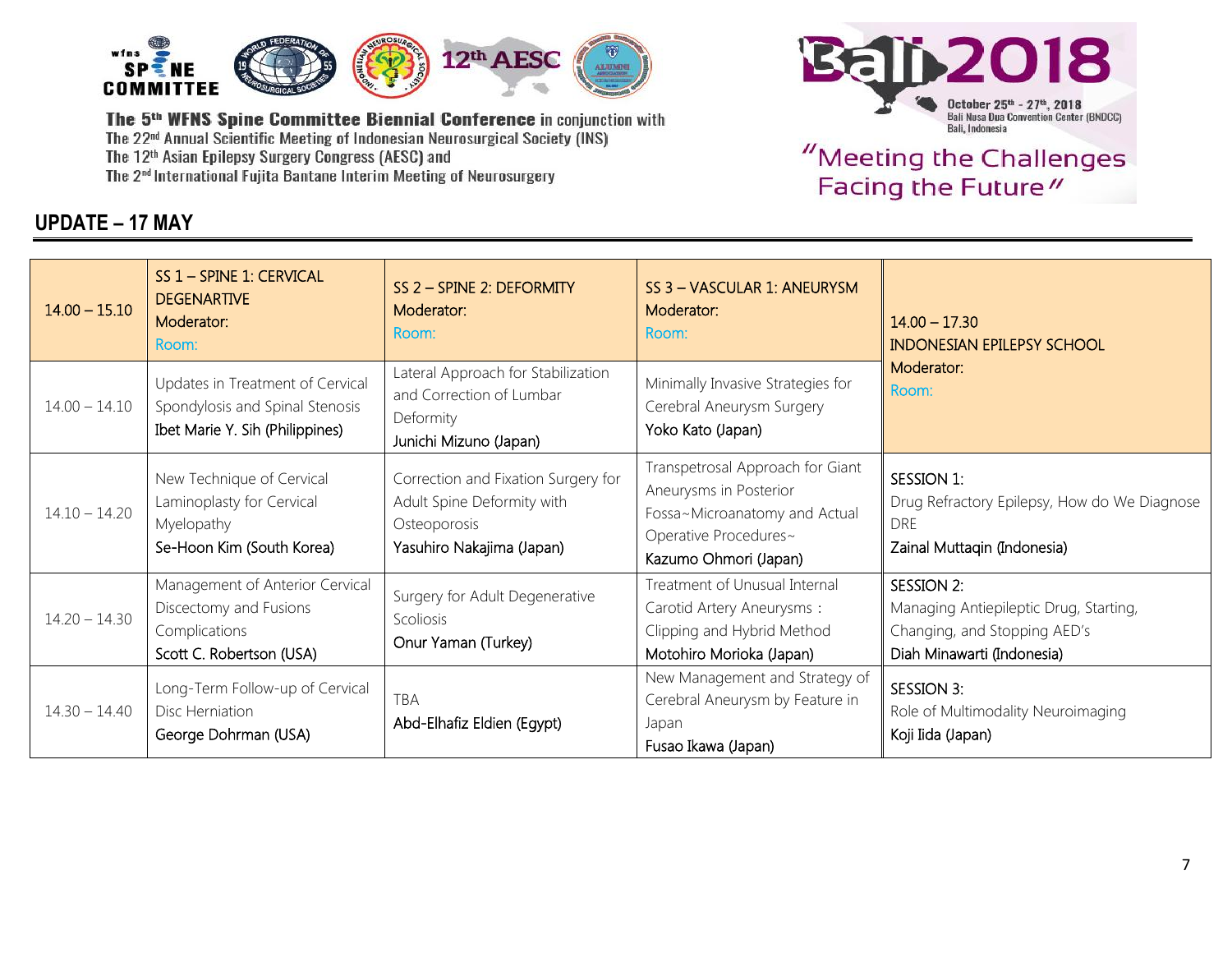

### **UPDATE – 17 MAY**



| $14.00 - 15.10$ | SS 1 - SPINE 1: CERVICAL<br><b>DEGENARTIVE</b><br>Moderator:<br>Room:                                  | SS 2 - SPINE 2: DEFORMITY<br>Moderator:<br>Room:                                                               | SS 3 - VASCULAR 1: ANEURYSM<br>Moderator:<br>Room:                                                                                            | $14.00 - 17.30$<br><b>INDONESIAN EPILEPSY SCHOOL</b>                                                               |  |
|-----------------|--------------------------------------------------------------------------------------------------------|----------------------------------------------------------------------------------------------------------------|-----------------------------------------------------------------------------------------------------------------------------------------------|--------------------------------------------------------------------------------------------------------------------|--|
| $14.00 - 14.10$ | Updates in Treatment of Cervical<br>Spondylosis and Spinal Stenosis<br>Ibet Marie Y. Sih (Philippines) | Lateral Approach for Stabilization<br>and Correction of Lumbar<br>Deformity<br>Junichi Mizuno (Japan)          | Minimally Invasive Strategies for<br>Cerebral Aneurysm Surgery<br>Yoko Kato (Japan)                                                           | Moderator:<br>Room:                                                                                                |  |
| $14.10 - 14.20$ | New Technique of Cervical<br>Laminoplasty for Cervical<br>Myelopathy<br>Se-Hoon Kim (South Korea)      | Correction and Fixation Surgery for<br>Adult Spine Deformity with<br>Osteoporosis<br>Yasuhiro Nakajima (Japan) | Transpetrosal Approach for Giant<br>Aneurysms in Posterior<br>Fossa~Microanatomy and Actual<br>Operative Procedures~<br>Kazumo Ohmori (Japan) | SESSION 1:<br>Drug Refractory Epilepsy, How do We Diagnose<br><b>DRE</b><br>Zainal Muttaqin (Indonesia)            |  |
| $14.20 - 14.30$ | Management of Anterior Cervical<br>Discectomy and Fusions<br>Complications<br>Scott C. Robertson (USA) | Surgery for Adult Degenerative<br>Scoliosis<br>Onur Yaman (Turkey)                                             | Treatment of Unusual Internal<br>Carotid Artery Aneurysms:<br>Clipping and Hybrid Method<br>Motohiro Morioka (Japan)                          | SESSION 2:<br>Managing Antiepileptic Drug, Starting,<br>Changing, and Stopping AED's<br>Diah Minawarti (Indonesia) |  |
| $14.30 - 14.40$ | Long-Term Follow-up of Cervical<br>Disc Herniation<br>George Dohrman (USA)                             | TBA<br>Abd-Elhafiz Eldien (Egypt)                                                                              | New Management and Strategy of<br>Cerebral Aneurysm by Feature in<br>Japan<br>Fusao Ikawa (Japan)                                             | SESSION 3:<br>Role of Multimodality Neuroimaging<br>Koji Iida (Japan)                                              |  |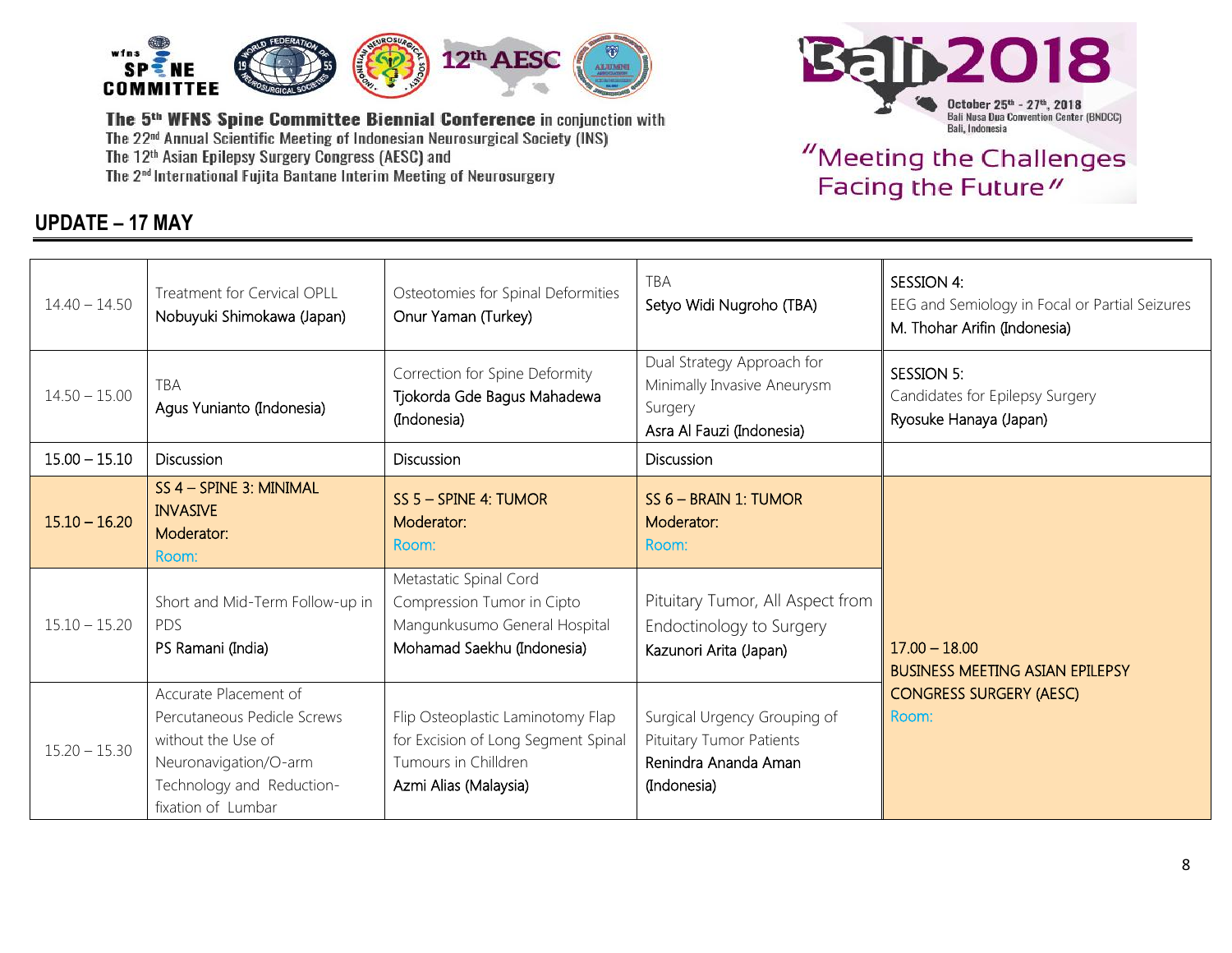

### **UPDATE – 17 MAY**



| $14.40 - 14.50$ | Treatment for Cervical OPLL<br>Nobuyuki Shimokawa (Japan)                                                                                              | Osteotomies for Spinal Deformities<br>Onur Yaman (Turkey)                                                                 | <b>TBA</b><br>Setyo Widi Nugroho (TBA)                                                            | <b>SESSION 4:</b><br>EEG and Semiology in Focal or Partial Seizures<br>M. Thohar Arifin (Indonesia) |
|-----------------|--------------------------------------------------------------------------------------------------------------------------------------------------------|---------------------------------------------------------------------------------------------------------------------------|---------------------------------------------------------------------------------------------------|-----------------------------------------------------------------------------------------------------|
| $14.50 - 15.00$ | <b>TBA</b><br>Agus Yunianto (Indonesia)                                                                                                                | Correction for Spine Deformity<br>Tjokorda Gde Bagus Mahadewa<br>(Indonesia)                                              | Dual Strategy Approach for<br>Minimally Invasive Aneurysm<br>Surgery<br>Asra Al Fauzi (Indonesia) | SESSION 5:<br>Candidates for Epilepsy Surgery<br>Ryosuke Hanaya (Japan)                             |
| $15.00 - 15.10$ | <b>Discussion</b>                                                                                                                                      | <b>Discussion</b>                                                                                                         | <b>Discussion</b>                                                                                 |                                                                                                     |
| $15.10 - 16.20$ | SS 4 - SPINE 3: MINIMAL<br><b>INVASIVE</b><br>Moderator:<br>Room:                                                                                      | SS 5 - SPINE 4: TUMOR<br>Moderator:<br>Room:                                                                              | $SS 6 - BRAIN 1$ : TUMOR<br>Moderator:<br>Room:                                                   |                                                                                                     |
| $15.10 - 15.20$ | Short and Mid-Term Follow-up in<br><b>PDS</b><br>PS Ramani (India)                                                                                     | Metastatic Spinal Cord<br>Compression Tumor in Cipto<br>Mangunkusumo General Hospital<br>Mohamad Saekhu (Indonesia)       | Pituitary Tumor, All Aspect from<br>Endoctinology to Surgery<br>Kazunori Arita (Japan)            | $17.00 - 18.00$<br><b>BUSINESS MEETING ASIAN EPILEPSY</b>                                           |
| $15.20 - 15.30$ | Accurate Placement of<br>Percutaneous Pedicle Screws<br>without the Use of<br>Neuronavigation/O-arm<br>Technology and Reduction-<br>fixation of Lumbar | Flip Osteoplastic Laminotomy Flap<br>for Excision of Long Segment Spinal<br>Tumours in Chilldren<br>Azmi Alias (Malaysia) | Surgical Urgency Grouping of<br>Pituitary Tumor Patients<br>Renindra Ananda Aman<br>(Indonesia)   | <b>CONGRESS SURGERY (AESC)</b><br>Room:                                                             |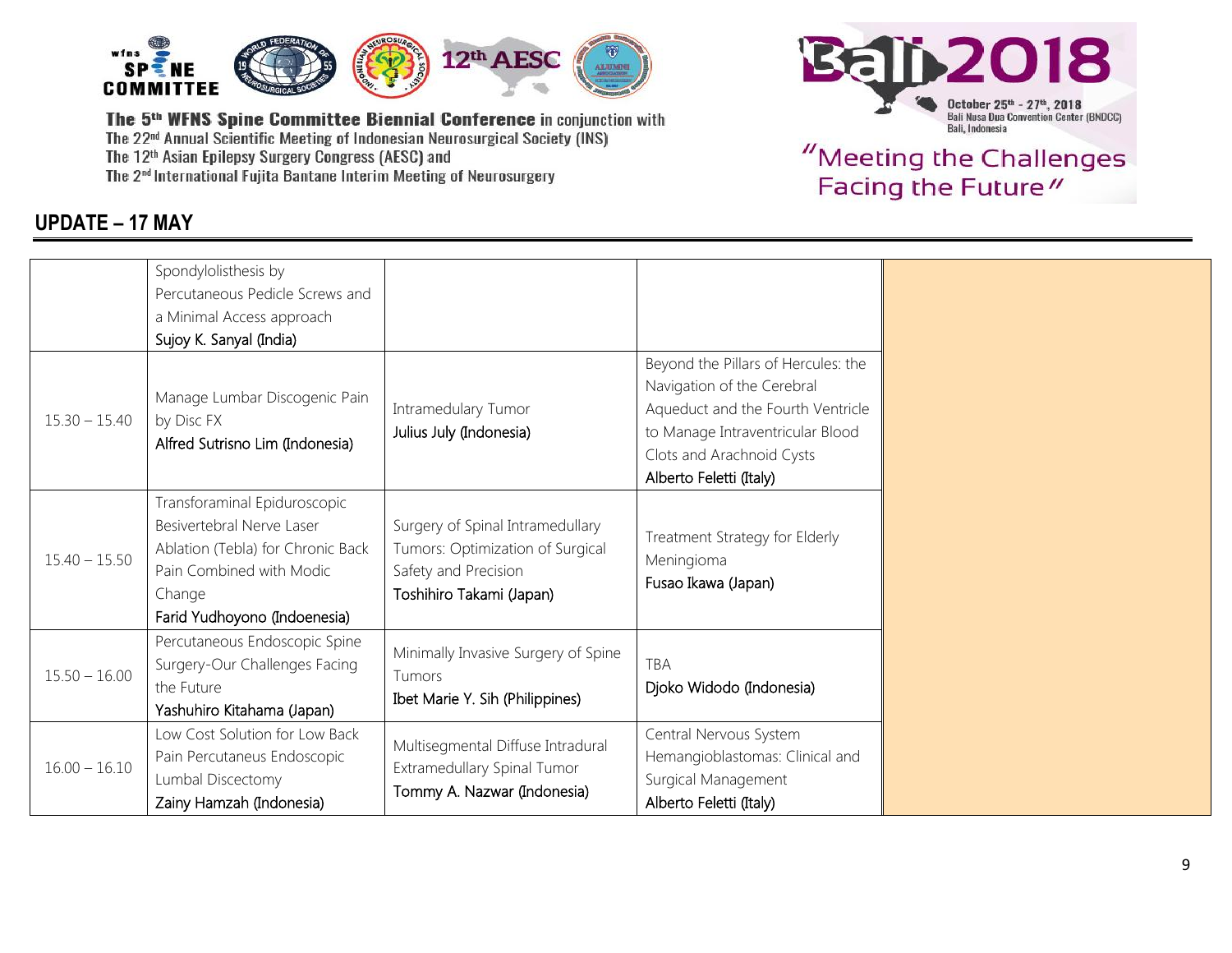

## **UPDATE – 17 MAY**



|                 | Spondylolisthesis by                                                                                                                                                 |                                                                                                                          |                                                                                                                                                                         |
|-----------------|----------------------------------------------------------------------------------------------------------------------------------------------------------------------|--------------------------------------------------------------------------------------------------------------------------|-------------------------------------------------------------------------------------------------------------------------------------------------------------------------|
|                 | Percutaneous Pedicle Screws and                                                                                                                                      |                                                                                                                          |                                                                                                                                                                         |
|                 | a Minimal Access approach                                                                                                                                            |                                                                                                                          |                                                                                                                                                                         |
|                 | Sujoy K. Sanyal (India)                                                                                                                                              |                                                                                                                          |                                                                                                                                                                         |
| $15.30 - 15.40$ | Manage Lumbar Discogenic Pain<br>by Disc FX<br>Alfred Sutrisno Lim (Indonesia)                                                                                       | Intramedulary Tumor<br>Julius July (Indonesia)                                                                           | Beyond the Pillars of Hercules: the<br>Navigation of the Cerebral<br>Aqueduct and the Fourth Ventricle<br>to Manage Intraventricular Blood<br>Clots and Arachnoid Cysts |
|                 |                                                                                                                                                                      |                                                                                                                          | Alberto Feletti (Italy)                                                                                                                                                 |
| $15.40 - 15.50$ | Transforaminal Epiduroscopic<br>Besivertebral Nerve Laser<br>Ablation (Tebla) for Chronic Back<br>Pain Combined with Modic<br>Change<br>Farid Yudhoyono (Indoenesia) | Surgery of Spinal Intramedullary<br>Tumors: Optimization of Surgical<br>Safety and Precision<br>Toshihiro Takami (Japan) | Treatment Strategy for Elderly<br>Meningioma<br>Fusao Ikawa (Japan)                                                                                                     |
| $15.50 - 16.00$ | Percutaneous Endoscopic Spine<br>Surgery-Our Challenges Facing<br>the Future<br>Yashuhiro Kitahama (Japan)                                                           | Minimally Invasive Surgery of Spine<br>Tumors<br>Ibet Marie Y. Sih (Philippines)                                         | <b>TBA</b><br>Djoko Widodo (Indonesia)                                                                                                                                  |
| $16.00 - 16.10$ | Low Cost Solution for Low Back<br>Pain Percutaneus Endoscopic<br>Lumbal Discectomy<br>Zainy Hamzah (Indonesia)                                                       | Multisegmental Diffuse Intradural<br>Extramedullary Spinal Tumor<br>Tommy A. Nazwar (Indonesia)                          | Central Nervous System<br>Hemangioblastomas: Clinical and<br>Surgical Management<br>Alberto Feletti (Italy)                                                             |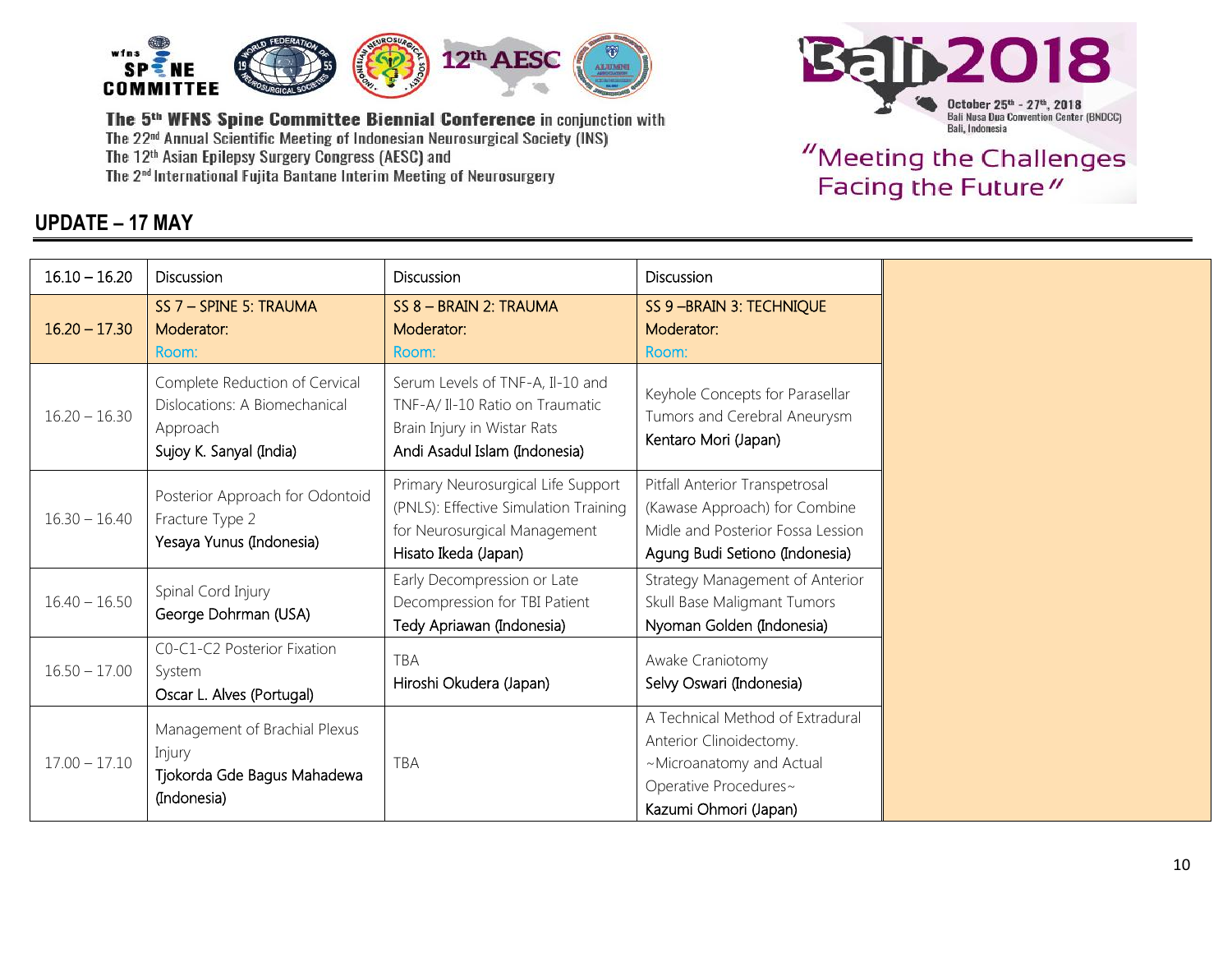





| $16.10 - 16.20$ | Discussion                                                                                             | Discussion                                                                                                                          | Discussion                                                                                                                                |
|-----------------|--------------------------------------------------------------------------------------------------------|-------------------------------------------------------------------------------------------------------------------------------------|-------------------------------------------------------------------------------------------------------------------------------------------|
| $16.20 - 17.30$ | SS 7 - SPINE 5: TRAUMA<br>Moderator:<br>Room:                                                          | SS 8 - BRAIN 2: TRAUMA<br>Moderator:<br>Room:                                                                                       | SS 9 - BRAIN 3: TECHNIQUE<br>Moderator:<br>Room:                                                                                          |
| $16.20 - 16.30$ | Complete Reduction of Cervical<br>Dislocations: A Biomechanical<br>Approach<br>Sujoy K. Sanyal (India) | Serum Levels of TNF-A, Il-10 and<br>TNF-A/ Il-10 Ratio on Traumatic<br>Brain Injury in Wistar Rats<br>Andi Asadul Islam (Indonesia) | Keyhole Concepts for Parasellar<br>Tumors and Cerebral Aneurysm<br>Kentaro Mori (Japan)                                                   |
| $16.30 - 16.40$ | Posterior Approach for Odontoid<br>Fracture Type 2<br>Yesaya Yunus (Indonesia)                         | Primary Neurosurgical Life Support<br>(PNLS): Effective Simulation Training<br>for Neurosurgical Management<br>Hisato Ikeda (Japan) | Pitfall Anterior Transpetrosal<br>(Kawase Approach) for Combine<br>Midle and Posterior Fossa Lession<br>Agung Budi Setiono (Indonesia)    |
| $16.40 - 16.50$ | Spinal Cord Injury<br>George Dohrman (USA)                                                             | Early Decompression or Late<br>Decompression for TBI Patient<br>Tedy Apriawan (Indonesia)                                           | Strategy Management of Anterior<br>Skull Base Maligmant Tumors<br>Nyoman Golden (Indonesia)                                               |
| $16.50 - 17.00$ | C0-C1-C2 Posterior Fixation<br>System<br>Oscar L. Alves (Portugal)                                     | <b>TBA</b><br>Hiroshi Okudera (Japan)                                                                                               | Awake Craniotomy<br>Selvy Oswari (Indonesia)                                                                                              |
| $17.00 - 17.10$ | Management of Brachial Plexus<br>Injury<br>Tjokorda Gde Bagus Mahadewa<br>(Indonesia)                  | <b>TBA</b>                                                                                                                          | A Technical Method of Extradural<br>Anterior Clinoidectomy.<br>~Microanatomy and Actual<br>Operative Procedures~<br>Kazumi Ohmori (Japan) |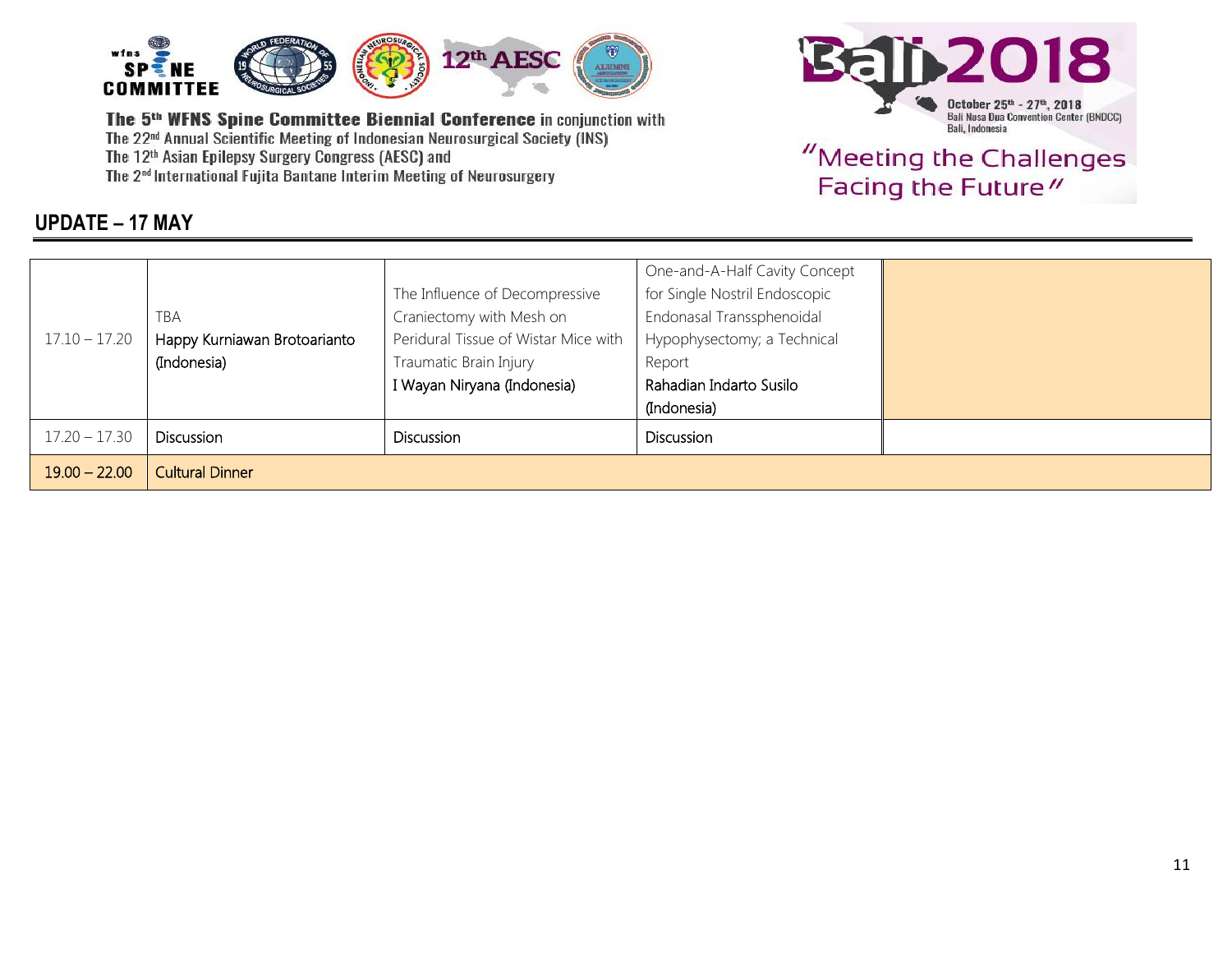



# "Meeting the Challenges Facing the Future"

#### **UPDATE – 17 MAY**

|                 |                              |                                      | One-and-A-Half Cavity Concept |  |
|-----------------|------------------------------|--------------------------------------|-------------------------------|--|
|                 |                              | The Influence of Decompressive       | for Single Nostril Endoscopic |  |
|                 | <b>TBA</b>                   | Craniectomy with Mesh on             | Endonasal Transsphenoidal     |  |
| $17.10 - 17.20$ | Happy Kurniawan Brotoarianto | Peridural Tissue of Wistar Mice with | Hypophysectomy; a Technical   |  |
|                 | (Indonesia)                  | Traumatic Brain Injury               | Report                        |  |
|                 |                              | I Wayan Niryana (Indonesia)          | Rahadian Indarto Susilo       |  |
|                 |                              |                                      | (Indonesia)                   |  |
| $17.20 - 17.30$ | <b>Discussion</b>            | <b>Discussion</b>                    | <b>Discussion</b>             |  |
| $19.00 - 22.00$ | <b>Cultural Dinner</b>       |                                      |                               |  |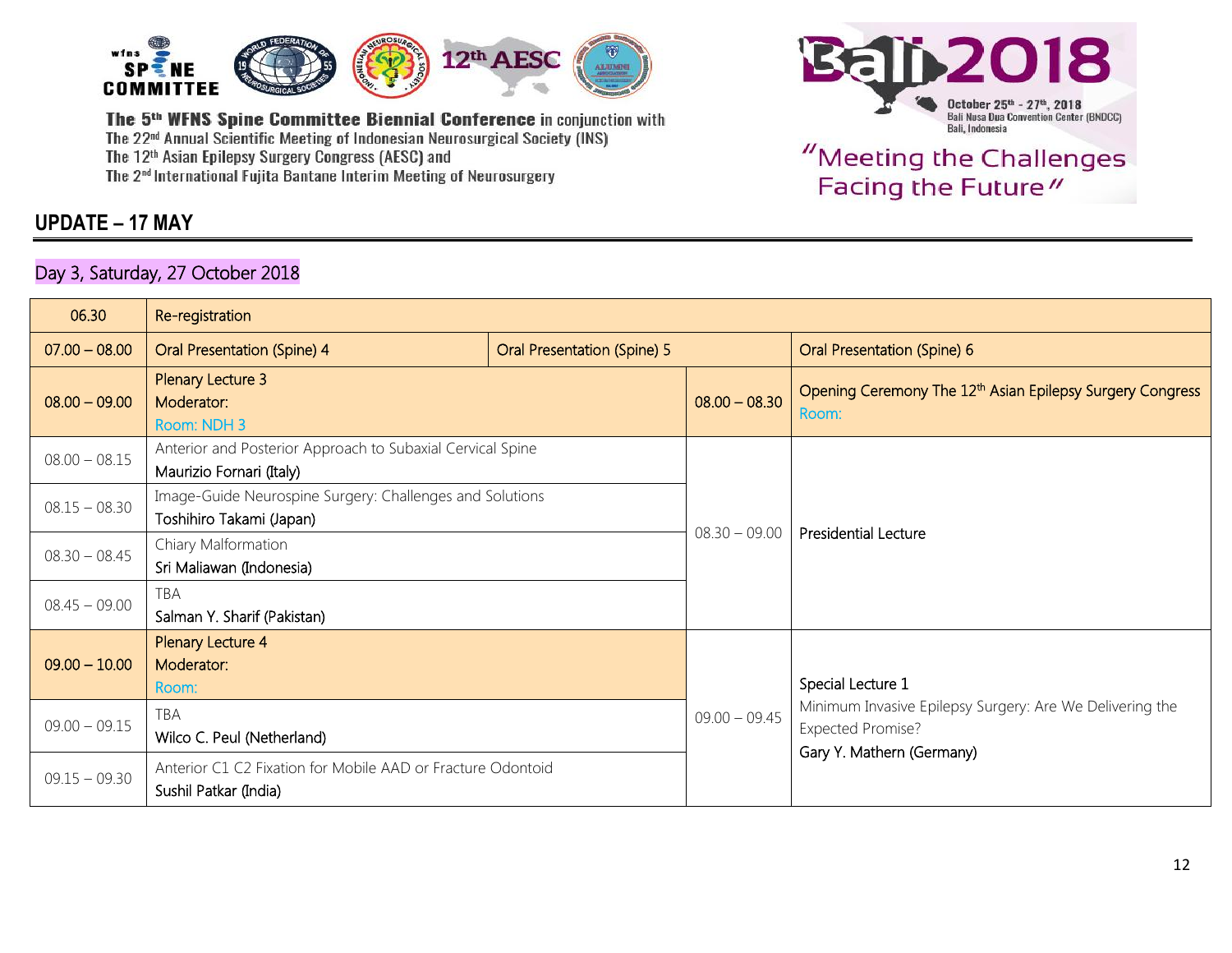

### **UPDATE – 17 MAY**

#### Day 3, Saturday, 27 October 2018



| 06.30           | Re-registration                                                                        |                             |                 |                                                                                      |  |
|-----------------|----------------------------------------------------------------------------------------|-----------------------------|-----------------|--------------------------------------------------------------------------------------|--|
| $07.00 - 08.00$ | Oral Presentation (Spine) 4                                                            | Oral Presentation (Spine) 5 |                 | Oral Presentation (Spine) 6                                                          |  |
| $08.00 - 09.00$ | Plenary Lecture 3<br>Moderator:<br>Room: NDH 3                                         |                             | $08.00 - 08.30$ | Opening Ceremony The 12 <sup>th</sup> Asian Epilepsy Surgery Congress<br>Room:       |  |
| $08.00 - 08.15$ | Anterior and Posterior Approach to Subaxial Cervical Spine<br>Maurizio Fornari (Italy) |                             |                 |                                                                                      |  |
| $08.15 - 08.30$ | Image-Guide Neurospine Surgery: Challenges and Solutions<br>Toshihiro Takami (Japan)   |                             | $08.30 - 09.00$ | <b>Presidential Lecture</b>                                                          |  |
| $08.30 - 08.45$ | Chiary Malformation<br>Sri Maliawan (Indonesia)                                        |                             |                 |                                                                                      |  |
| $08.45 - 09.00$ | TBA<br>Salman Y. Sharif (Pakistan)                                                     |                             |                 |                                                                                      |  |
| $09.00 - 10.00$ | Plenary Lecture 4<br>Moderator:<br>Room:                                               |                             |                 | Special Lecture 1                                                                    |  |
| $09.00 - 09.15$ | TBA<br>Wilco C. Peul (Netherland)                                                      |                             | $09.00 - 09.45$ | Minimum Invasive Epilepsy Surgery: Are We Delivering the<br><b>Expected Promise?</b> |  |
| $09.15 - 09.30$ | Anterior C1 C2 Fixation for Mobile AAD or Fracture Odontoid<br>Sushil Patkar (India)   |                             |                 | Gary Y. Mathern (Germany)                                                            |  |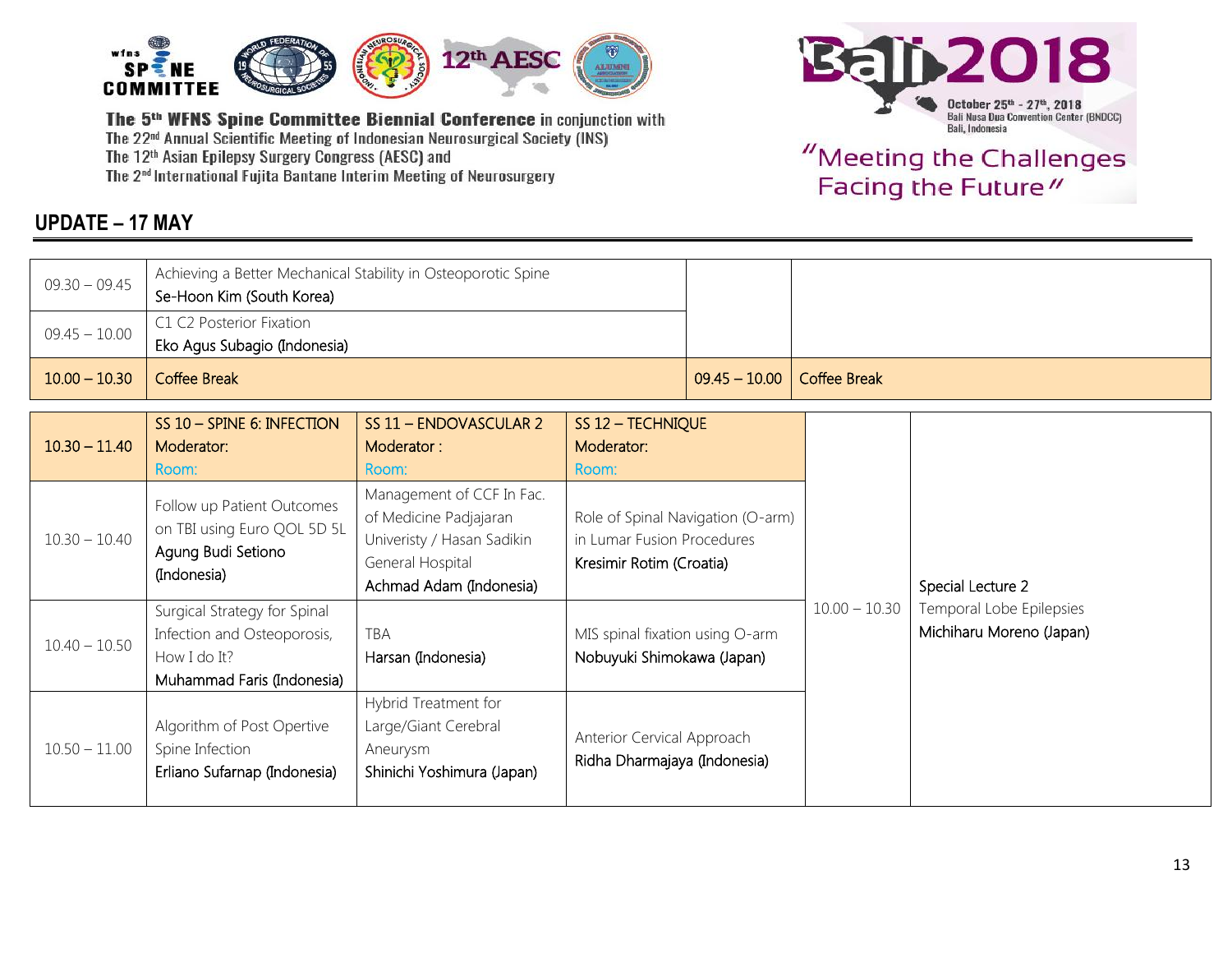

## **UPDATE – 17 MAY**



| $09.30 - 09.45$ | Achieving a Better Mechanical Stability in Osteoporotic Spine<br>Se-Hoon Kim (South Korea)                |                                                                                                                                  |                                                                                             |                 |                     |                                                      |
|-----------------|-----------------------------------------------------------------------------------------------------------|----------------------------------------------------------------------------------------------------------------------------------|---------------------------------------------------------------------------------------------|-----------------|---------------------|------------------------------------------------------|
| $09.45 - 10.00$ | C1 C2 Posterior Fixation<br>Eko Agus Subagio (Indonesia)                                                  |                                                                                                                                  |                                                                                             |                 |                     |                                                      |
| $10.00 - 10.30$ | <b>Coffee Break</b>                                                                                       |                                                                                                                                  |                                                                                             | $09.45 - 10.00$ | <b>Coffee Break</b> |                                                      |
| $10.30 - 11.40$ | SS 10 - SPINE 6: INFECTION<br>Moderator:<br>Room:                                                         | SS 11 - ENDOVASCULAR 2<br>Moderator:<br>Room:                                                                                    | SS 12 - TECHNIQUE<br>Moderator:<br>Room:                                                    |                 |                     |                                                      |
| $10.30 - 10.40$ | Follow up Patient Outcomes<br>on TBI using Euro QOL 5D 5L<br>Agung Budi Setiono<br>(Indonesia)            | Management of CCF In Fac.<br>of Medicine Padjajaran<br>Univeristy / Hasan Sadikin<br>General Hospital<br>Achmad Adam (Indonesia) | Role of Spinal Navigation (O-arm)<br>in Lumar Fusion Procedures<br>Kresimir Rotim (Croatia) |                 |                     | Special Lecture 2                                    |
| $10.40 - 10.50$ | Surgical Strategy for Spinal<br>Infection and Osteoporosis,<br>How I do It?<br>Muhammad Faris (Indonesia) | <b>TBA</b><br>Harsan (Indonesia)                                                                                                 | MIS spinal fixation using O-arm<br>Nobuyuki Shimokawa (Japan)                               |                 | $10.00 - 10.30$     | Temporal Lobe Epilepsies<br>Michiharu Moreno (Japan) |
| $10.50 - 11.00$ | Algorithm of Post Opertive<br>Spine Infection<br>Erliano Sufarnap (Indonesia)                             | Hybrid Treatment for<br>Large/Giant Cerebral<br>Aneurysm<br>Shinichi Yoshimura (Japan)                                           | Anterior Cervical Approach<br>Ridha Dharmajaya (Indonesia)                                  |                 |                     |                                                      |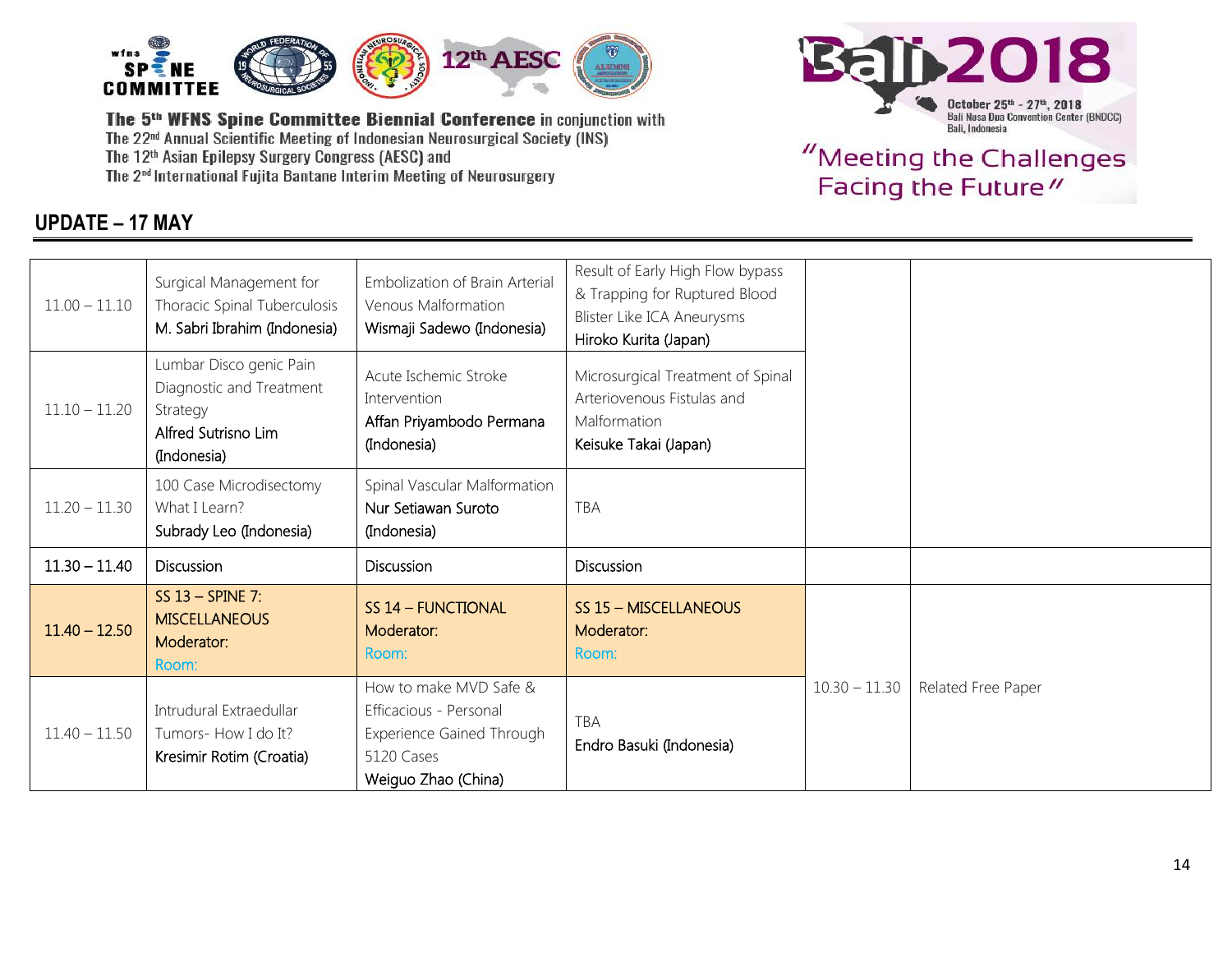

## **UPDATE – 17 MAY**



| $11.00 - 11.10$ | Surgical Management for<br>Thoracic Spinal Tuberculosis<br>M. Sabri Ibrahim (Indonesia)               | Embolization of Brain Arterial<br>Venous Malformation<br>Wismaji Sadewo (Indonesia)                                | Result of Early High Flow bypass<br>& Trapping for Ruptured Blood<br>Blister Like ICA Aneurysms<br>Hiroko Kurita (Japan) |                 |                    |
|-----------------|-------------------------------------------------------------------------------------------------------|--------------------------------------------------------------------------------------------------------------------|--------------------------------------------------------------------------------------------------------------------------|-----------------|--------------------|
| $11.10 - 11.20$ | Lumbar Disco genic Pain<br>Diagnostic and Treatment<br>Strategy<br>Alfred Sutrisno Lim<br>(Indonesia) | Acute Ischemic Stroke<br>Intervention<br>Affan Priyambodo Permana<br>(Indonesia)                                   | Microsurgical Treatment of Spinal<br>Arteriovenous Fistulas and<br>Malformation<br>Keisuke Takai (Japan)                 |                 |                    |
| $11.20 - 11.30$ | 100 Case Microdisectomy<br>What I Learn?<br>Subrady Leo (Indonesia)                                   | Spinal Vascular Malformation<br>Nur Setiawan Suroto<br>(Indonesia)                                                 | TBA                                                                                                                      |                 |                    |
| $11.30 - 11.40$ | Discussion                                                                                            | <b>Discussion</b>                                                                                                  | Discussion                                                                                                               |                 |                    |
| $11.40 - 12.50$ | SS $13$ – SPINE 7:<br><b>MISCELLANEOUS</b><br>Moderator:<br>Room:                                     | SS 14 - FUNCTIONAL<br>Moderator:<br>Room:                                                                          | SS 15 - MISCELLANEOUS<br>Moderator:<br>Room:                                                                             |                 |                    |
| $11.40 - 11.50$ | Intrudural Extraedullar<br>Tumors- How I do It?<br>Kresimir Rotim (Croatia)                           | How to make MVD Safe &<br>Efficacious - Personal<br>Experience Gained Through<br>5120 Cases<br>Weiguo Zhao (China) | <b>TBA</b><br>Endro Basuki (Indonesia)                                                                                   | $10.30 - 11.30$ | Related Free Paper |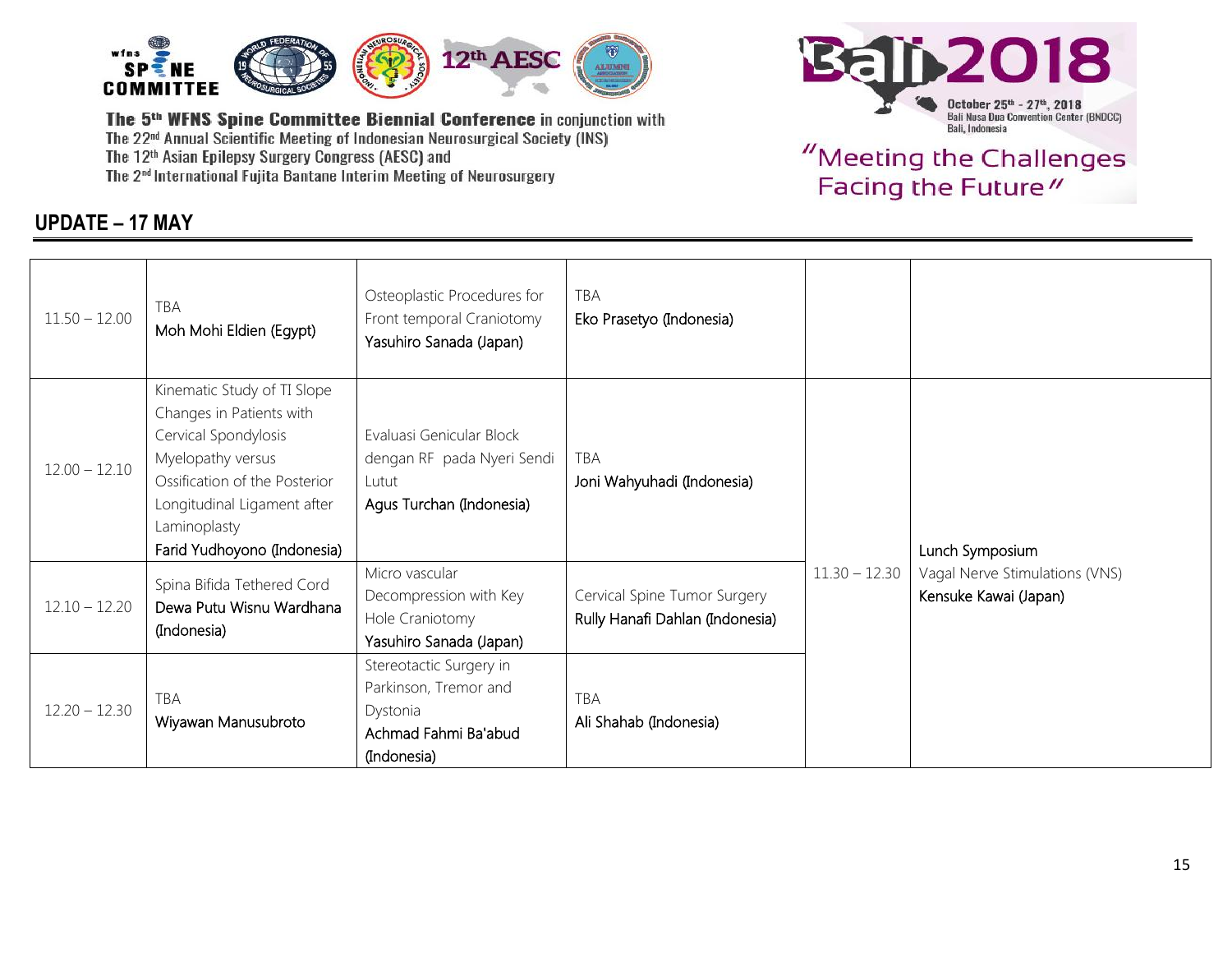

### **UPDATE – 17 MAY**



| $11.50 - 12.00$ | TBA<br>Moh Mohi Eldien (Egypt)                                                                                                                                                                                      | Osteoplastic Procedures for<br>Front temporal Craniotomy<br>Yasuhiro Sanada (Japan)                 | TBA<br>Eko Prasetyo (Indonesia)                                 |                 |                                                                            |
|-----------------|---------------------------------------------------------------------------------------------------------------------------------------------------------------------------------------------------------------------|-----------------------------------------------------------------------------------------------------|-----------------------------------------------------------------|-----------------|----------------------------------------------------------------------------|
| $12.00 - 12.10$ | Kinematic Study of TI Slope<br>Changes in Patients with<br>Cervical Spondylosis<br>Myelopathy versus<br>Ossification of the Posterior<br>Longitudinal Ligament after<br>Laminoplasty<br>Farid Yudhoyono (Indonesia) | Evaluasi Genicular Block<br>dengan RF pada Nyeri Sendi<br>Lutut<br>Agus Turchan (Indonesia)         | TBA<br>Joni Wahyuhadi (Indonesia)                               | $11.30 - 12.30$ | Lunch Symposium<br>Vagal Nerve Stimulations (VNS)<br>Kensuke Kawai (Japan) |
| $12.10 - 12.20$ | Spina Bifida Tethered Cord<br>Dewa Putu Wisnu Wardhana<br>(Indonesia)                                                                                                                                               | Micro vascular<br>Decompression with Key<br>Hole Craniotomy<br>Yasuhiro Sanada (Japan)              | Cervical Spine Tumor Surgery<br>Rully Hanafi Dahlan (Indonesia) |                 |                                                                            |
| $12.20 - 12.30$ | TBA<br>Wiyawan Manusubroto                                                                                                                                                                                          | Stereotactic Surgery in<br>Parkinson, Tremor and<br>Dystonia<br>Achmad Fahmi Ba'abud<br>(Indonesia) | <b>TBA</b><br>Ali Shahab (Indonesia)                            |                 |                                                                            |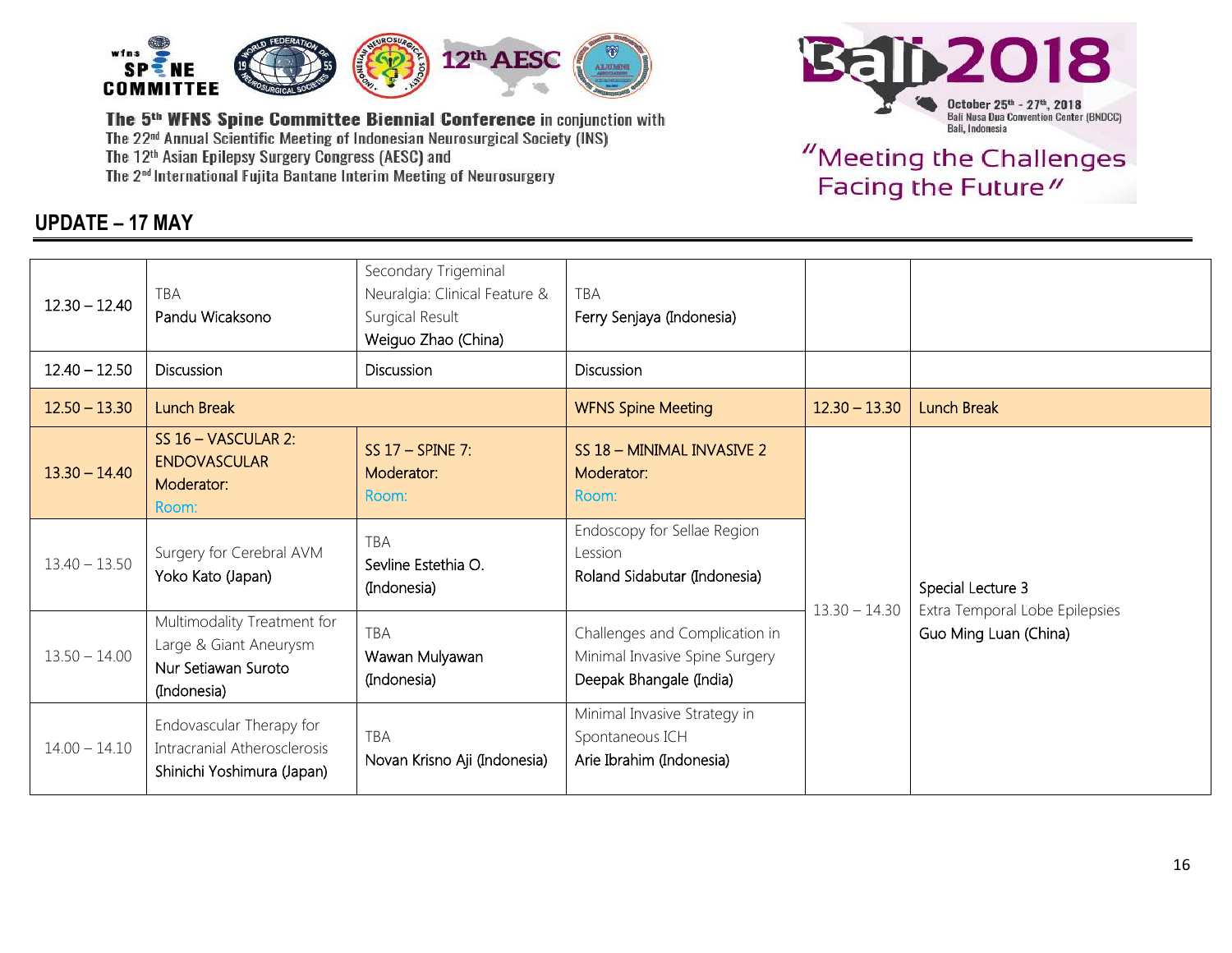

### **UPDATE – 17 MAY**



| $12.30 - 12.40$ | <b>TBA</b><br>Pandu Wicaksono                                                               | Secondary Trigeminal<br>Neuralgia: Clinical Feature &<br>Surgical Result<br>Weiguo Zhao (China) | TBA<br>Ferry Senjaya (Indonesia)                                                            |                 |                                                                              |
|-----------------|---------------------------------------------------------------------------------------------|-------------------------------------------------------------------------------------------------|---------------------------------------------------------------------------------------------|-----------------|------------------------------------------------------------------------------|
| $12.40 - 12.50$ | <b>Discussion</b>                                                                           | <b>Discussion</b>                                                                               | Discussion                                                                                  |                 |                                                                              |
| $12.50 - 13.30$ | <b>Lunch Break</b>                                                                          |                                                                                                 | <b>WFNS Spine Meeting</b>                                                                   | $12.30 - 13.30$ | <b>Lunch Break</b>                                                           |
| $13.30 - 14.40$ | SS 16 - VASCULAR 2:<br><b>ENDOVASCULAR</b><br>Moderator:<br>Room:                           | SS $17 - SPINE 7$ :<br>Moderator:<br>Room:                                                      | SS 18 - MINIMAL INVASIVE 2<br>Moderator:<br>Room:                                           | $13.30 - 14.30$ | Special Lecture 3<br>Extra Temporal Lobe Epilepsies<br>Guo Ming Luan (China) |
| $13.40 - 13.50$ | Surgery for Cerebral AVM<br>Yoko Kato (Japan)                                               | TBA<br>Sevline Estethia O.<br>(Indonesia)                                                       | Endoscopy for Sellae Region<br>Lession<br>Roland Sidabutar (Indonesia)                      |                 |                                                                              |
| $13.50 - 14.00$ | Multimodality Treatment for<br>Large & Giant Aneurysm<br>Nur Setiawan Suroto<br>(Indonesia) | <b>TBA</b><br>Wawan Mulyawan<br>(Indonesia)                                                     | Challenges and Complication in<br>Minimal Invasive Spine Surgery<br>Deepak Bhangale (India) |                 |                                                                              |
| $14.00 - 14.10$ | Endovascular Therapy for<br>Intracranial Atherosclerosis<br>Shinichi Yoshimura (Japan)      | TBA<br>Novan Krisno Aji (Indonesia)                                                             | Minimal Invasive Strategy in<br>Spontaneous ICH<br>Arie Ibrahim (Indonesia)                 |                 |                                                                              |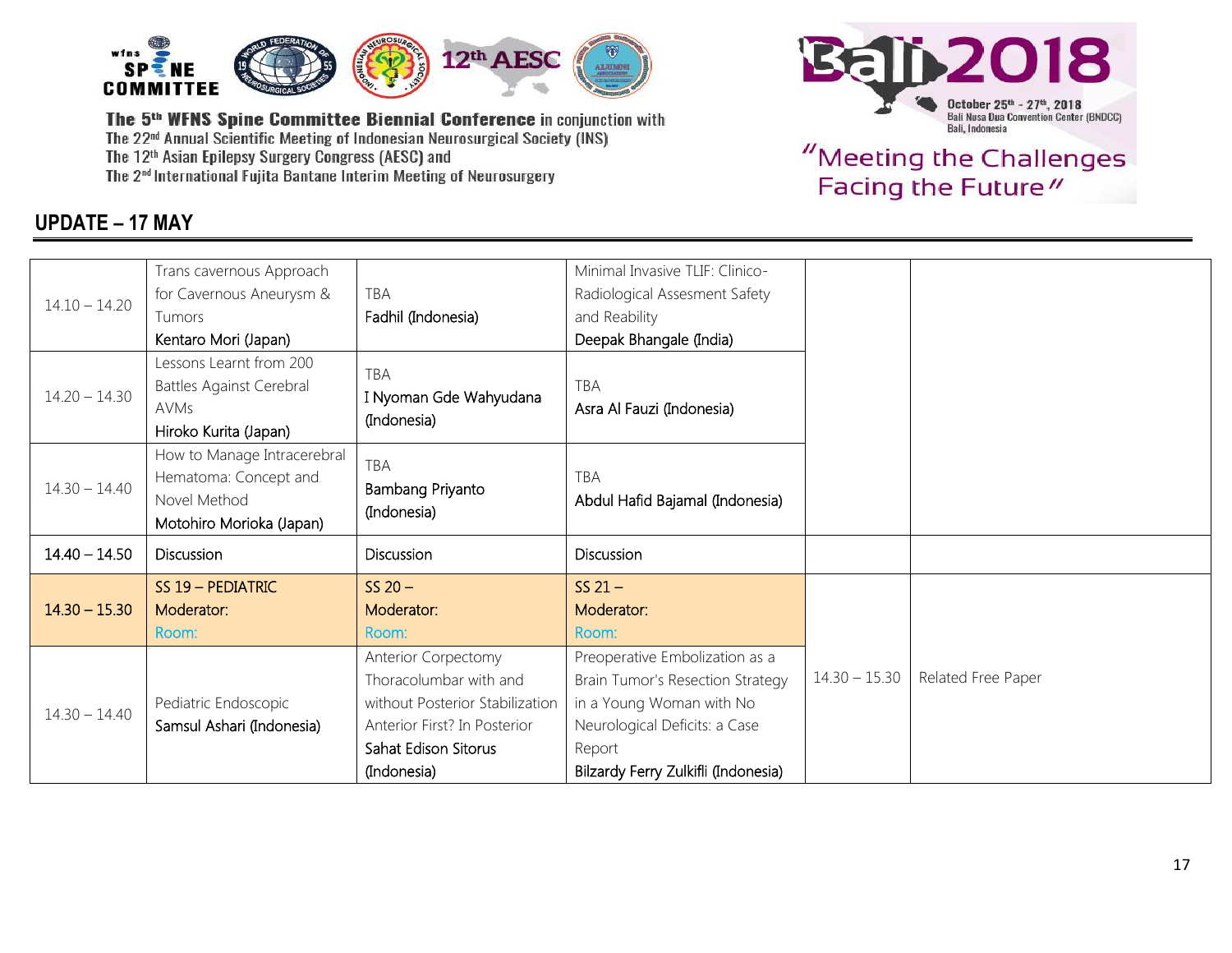

## **UPDATE – 17 MAY**



|                 | Trans cavernous Approach              |                                 | Minimal Invasive TLIF: Clinico-     |                 |                    |
|-----------------|---------------------------------------|---------------------------------|-------------------------------------|-----------------|--------------------|
| $14.10 - 14.20$ | for Cavernous Aneurysm &              | TBA                             | Radiological Assesment Safety       |                 |                    |
|                 | Tumors                                | Fadhil (Indonesia)              | and Reability                       |                 |                    |
|                 | Kentaro Mori (Japan)                  |                                 | Deepak Bhangale (India)             |                 |                    |
|                 | Lessons Learnt from 200               | <b>TBA</b>                      |                                     |                 |                    |
| $14.20 - 14.30$ | Battles Against Cerebral              | I Nyoman Gde Wahyudana          | TBA                                 |                 |                    |
|                 | <b>AVMs</b>                           | (Indonesia)                     | Asra Al Fauzi (Indonesia)           |                 |                    |
|                 | Hiroko Kurita (Japan)                 |                                 |                                     |                 |                    |
|                 | How to Manage Intracerebral           | TBA                             |                                     |                 |                    |
| $14.30 - 14.40$ | Hematoma: Concept and<br>Novel Method | Bambang Priyanto                | <b>TBA</b>                          |                 |                    |
|                 | Motohiro Morioka (Japan)              | (Indonesia)                     | Abdul Hafid Bajamal (Indonesia)     |                 |                    |
|                 |                                       |                                 |                                     |                 |                    |
| $14.40 - 14.50$ | <b>Discussion</b>                     | <b>Discussion</b>               | <b>Discussion</b>                   |                 |                    |
|                 | SS 19 - PEDIATRIC                     | $SS 20 -$                       | $SS 21 -$                           |                 |                    |
| $14.30 - 15.30$ | Moderator:                            | Moderator:                      | Moderator:                          |                 |                    |
|                 | Room:                                 | Room:                           | Room:                               |                 |                    |
| $14.30 - 14.40$ |                                       | Anterior Corpectomy             | Preoperative Embolization as a      |                 |                    |
|                 |                                       | Thoracolumbar with and          | Brain Tumor's Resection Strategy    | $14.30 - 15.30$ | Related Free Paper |
|                 | Pediatric Endoscopic                  | without Posterior Stabilization | in a Young Woman with No            |                 |                    |
|                 | Samsul Ashari (Indonesia)             | Anterior First? In Posterior    | Neurological Deficits: a Case       |                 |                    |
|                 |                                       | Sahat Edison Sitorus            | Report                              |                 |                    |
|                 |                                       | (Indonesia)                     | Bilzardy Ferry Zulkifli (Indonesia) |                 |                    |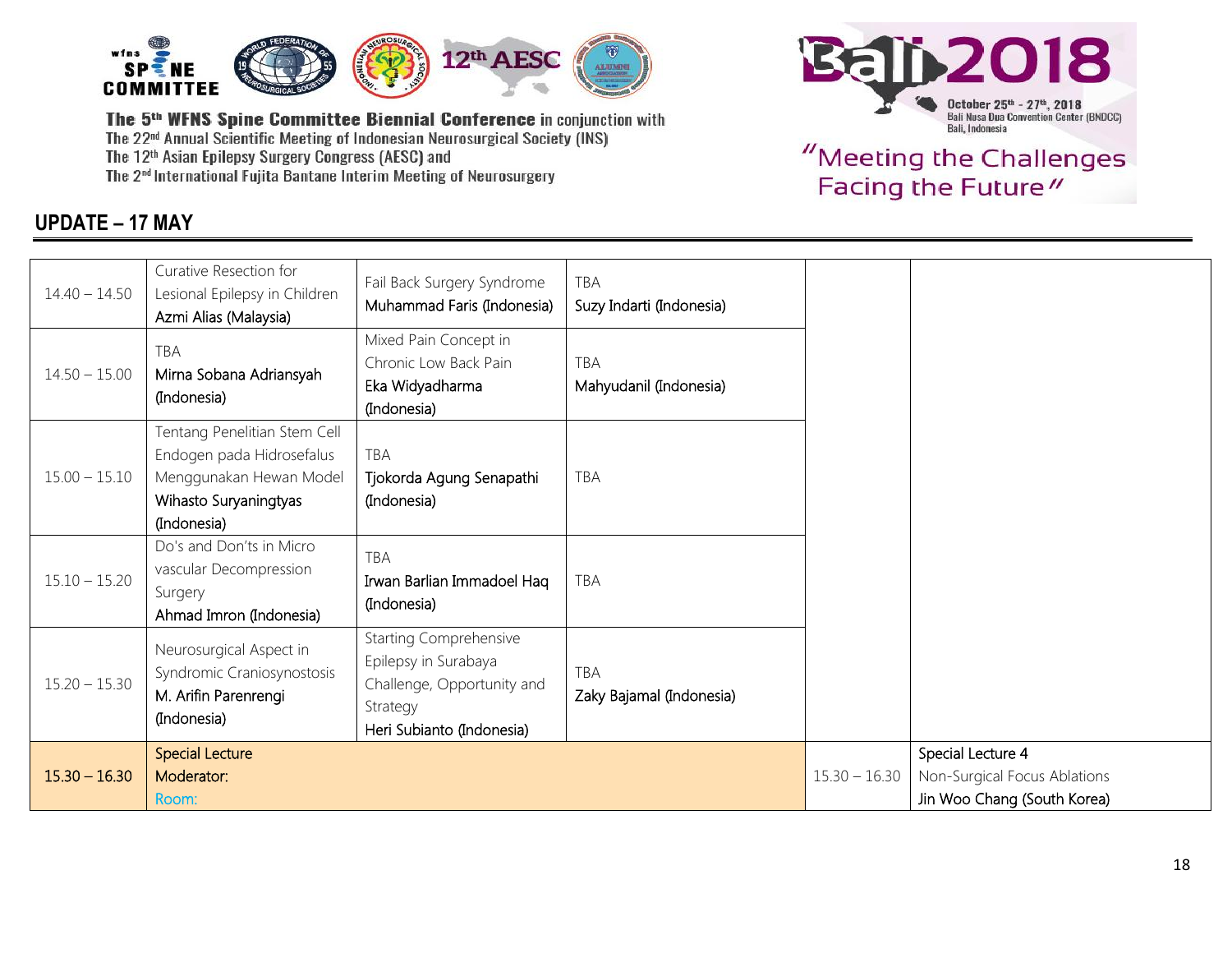

## **UPDATE – 17 MAY**



| $14.40 - 14.50$ | Curative Resection for<br>Lesional Epilepsy in Children<br>Azmi Alias (Malaysia)                                             | Fail Back Surgery Syndrome<br>Muhammad Faris (Indonesia)                                                                     | <b>TBA</b><br>Suzy Indarti (Indonesia) |                 |                                                                                  |
|-----------------|------------------------------------------------------------------------------------------------------------------------------|------------------------------------------------------------------------------------------------------------------------------|----------------------------------------|-----------------|----------------------------------------------------------------------------------|
| $14.50 - 15.00$ | <b>TBA</b><br>Mirna Sobana Adriansyah<br>(Indonesia)                                                                         | Mixed Pain Concept in<br>Chronic Low Back Pain<br>Eka Widyadharma<br>(Indonesia)                                             | <b>TBA</b><br>Mahyudanil (Indonesia)   |                 |                                                                                  |
| $15.00 - 15.10$ | Tentang Penelitian Stem Cell<br>Endogen pada Hidrosefalus<br>Menggunakan Hewan Model<br>Wihasto Suryaningtyas<br>(Indonesia) | TBA<br>Tjokorda Agung Senapathi<br>(Indonesia)                                                                               | <b>TBA</b>                             |                 |                                                                                  |
| $15.10 - 15.20$ | Do's and Don'ts in Micro<br>vascular Decompression<br>Surgery<br>Ahmad Imron (Indonesia)                                     | <b>TBA</b><br>Irwan Barlian Immadoel Haq<br>(Indonesia)                                                                      | <b>TBA</b>                             |                 |                                                                                  |
| $15.20 - 15.30$ | Neurosurgical Aspect in<br>Syndromic Craniosynostosis<br>M. Arifin Parenrengi<br>(Indonesia)                                 | <b>Starting Comprehensive</b><br>Epilepsy in Surabaya<br>Challenge, Opportunity and<br>Strategy<br>Heri Subianto (Indonesia) | <b>TBA</b><br>Zaky Bajamal (Indonesia) |                 |                                                                                  |
| $15.30 - 16.30$ | <b>Special Lecture</b><br>Moderator:<br>Room:                                                                                |                                                                                                                              |                                        | $15.30 - 16.30$ | Special Lecture 4<br>Non-Surgical Focus Ablations<br>Jin Woo Chang (South Korea) |